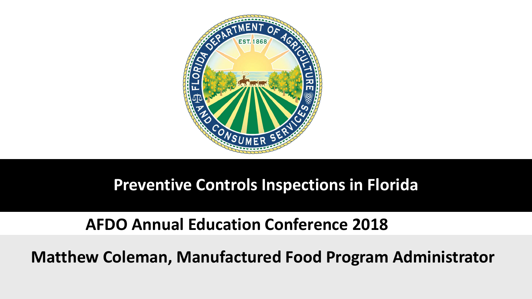

#### **Preventive Controls Inspections in Florida**

#### **AFDO Annual Education Conference 2018**

**Matthew Coleman, Manufactured Food Program Administrator**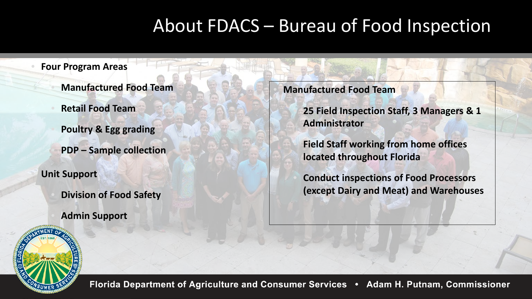#### About FDACS – Bureau of Food Inspection

#### • **Four Program Areas** • **Manufactured Food Team** • **Retail Food Team** • **Poultry & Egg grading** • **PDP – Sample collection** • **Unit Support** • **Division of Food Safety**  • **Admin Support**

• **Manufactured Food Team**

• **25 Field Inspection Staff, 3 Managers & 1 Administrator** 

• **Field Staff working from home offices located throughout Florida**

• **Conduct inspections of Food Processors (except Dairy and Meat) and Warehouses**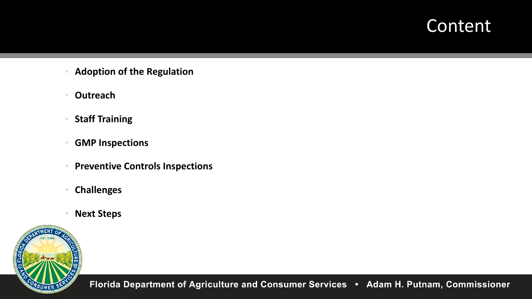#### **Content**

- **Adoption of the Regulation**
- **Outreach**
- **Staff Training**
- **GMP Inspections**
- **Preventive Controls Inspections**
- **Challenges**
- **Next Steps**

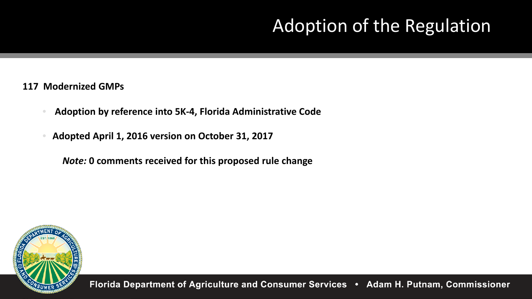# Adoption of the Regulation

#### **117 Modernized GMPs**

- **Adoption by reference into 5K-4, Florida Administrative Code**
- **Adopted April 1, 2016 version on October 31, 2017**

*Note:* **0 comments received for this proposed rule change**

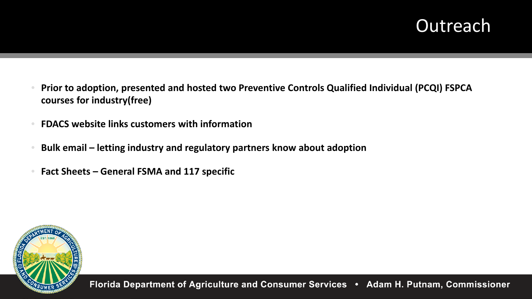#### **Outreach**

- **Prior to adoption, presented and hosted two Preventive Controls Qualified Individual (PCQI) FSPCA courses for industry(free)**
- **FDACS website links customers with information**
- **Bulk email – letting industry and regulatory partners know about adoption**
- **Fact Sheets – General FSMA and 117 specific**

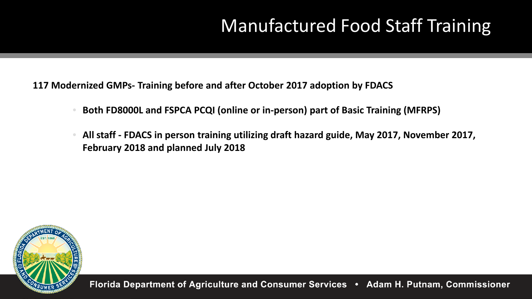# Manufactured Food Staff Training

**117 Modernized GMPs- Training before and after October 2017 adoption by FDACS** 

- **Both FD8000L and FSPCA PCQI (online or in-person) part of Basic Training (MFRPS)**
- **All staff - FDACS in person training utilizing draft hazard guide, May 2017, November 2017, February 2018 and planned July 2018**

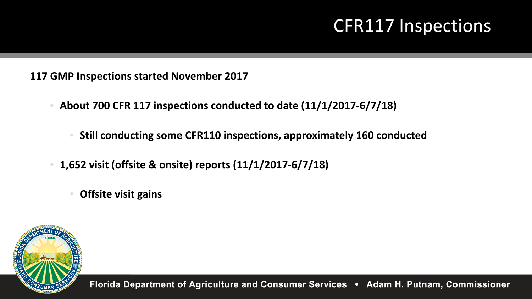#### CFR117 Inspections

**117 GMP Inspections started November 2017**

- **About 700 CFR 117 inspections conducted to date (11/1/2017-6/7/18)**
	- **Still conducting some CFR110 inspections, approximately 160 conducted**
- **1,652 visit (offsite & onsite) reports (11/1/2017-6/7/18)**
	- **Offsite visit gains**

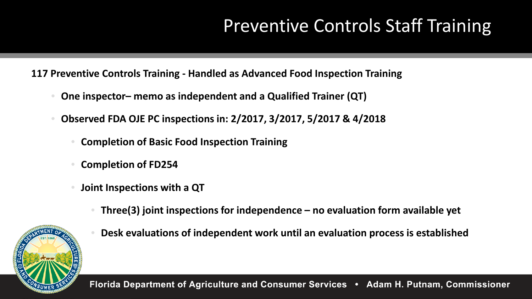# Preventive Controls Staff Training

**117 Preventive Controls Training - Handled as Advanced Food Inspection Training**

- **One inspector– memo as independent and a Qualified Trainer (QT)**
- **Observed FDA OJE PC inspections in: 2/2017, 3/2017, 5/2017 & 4/2018**
	- **Completion of Basic Food Inspection Training**
	- **Completion of FD254**
	- **Joint Inspections with a QT**
		- **Three(3) joint inspections for independence – no evaluation form available yet**



• **Desk evaluations of independent work until an evaluation process is established**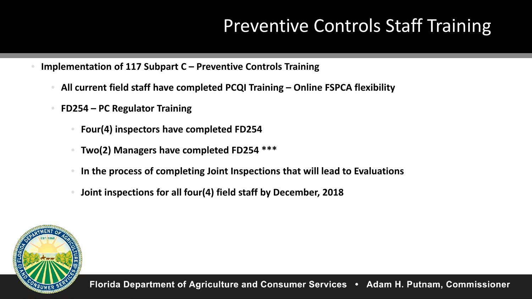## Preventive Controls Staff Training

- **Implementation of 117 Subpart C – Preventive Controls Training**
	- **All current field staff have completed PCQI Training – Online FSPCA flexibility**
	- **FD254 – PC Regulator Training**
		- **Four(4) inspectors have completed FD254**
		- **Two(2) Managers have completed FD254 \*\*\***
		- **In the process of completing Joint Inspections that will lead to Evaluations**
		- **Joint inspections for all four(4) field staff by December, 2018**

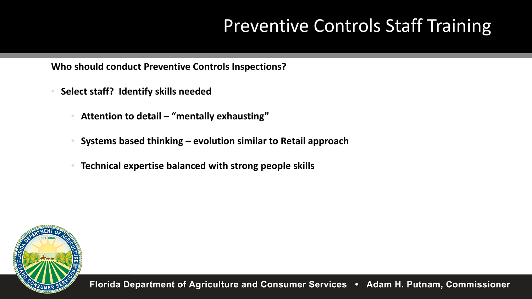## Preventive Controls Staff Training

**Who should conduct Preventive Controls Inspections?** 

- **Select staff? Identify skills needed**
	- **Attention to detail – "mentally exhausting"**
	- **Systems based thinking – evolution similar to Retail approach**
	- **Technical expertise balanced with strong people skills**

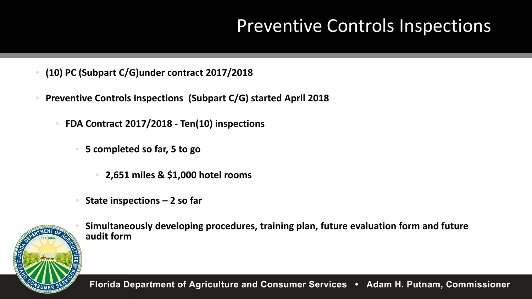#### Preventive Controls Inspections

- **(10) PC (Subpart C/G)under contract 2017/2018**
- **Preventive Controls Inspections (Subpart C/G) started April 2018** 
	- **FDA Contract 2017/2018 - Ten(10) inspections** 
		- **5 completed so far, 5 to go**
			- **2,651 miles & \$1,000 hotel rooms**
		- **State inspections – 2 so far**



• **Simultaneously developing procedures, training plan, future evaluation form and future audit form**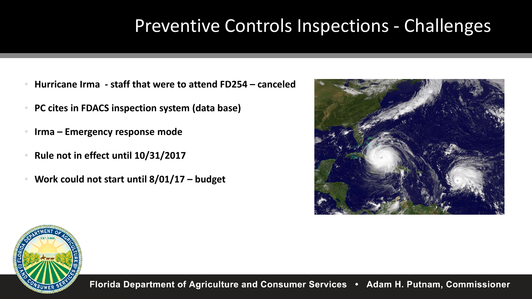### Preventive Controls Inspections - Challenges

- **Hurricane Irma - staff that were to attend FD254 – canceled**
- **PC cites in FDACS inspection system (data base)**
- **Irma – Emergency response mode**
- **Rule not in effect until 10/31/2017**
- **Work could not start until 8/01/17 – budget**



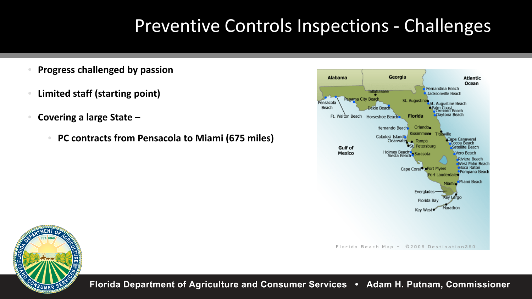#### Preventive Controls Inspections - Challenges

- **Progress challenged by passion**
- **Limited staff (starting point)**
- **Covering a large State –**
	- **PC contracts from Pensacola to Miami (675 miles)**



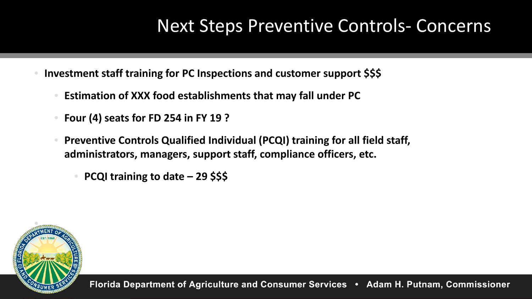#### Next Steps Preventive Controls- Concerns

- **Investment staff training for PC Inspections and customer support \$\$\$**
	- **Estimation of XXX food establishments that may fall under PC**
	- **Four (4) seats for FD 254 in FY 19 ?**
	- **Preventive Controls Qualified Individual (PCQI) training for all field staff, administrators, managers, support staff, compliance officers, etc.** 
		- **PCQI training to date – 29 \$\$\$**

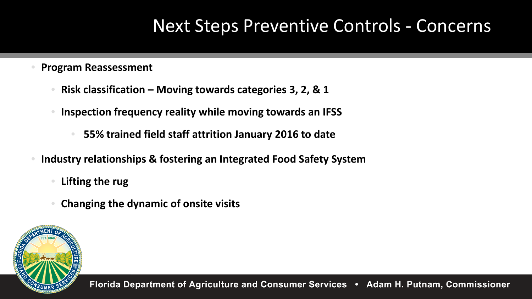#### Next Steps Preventive Controls - Concerns

- **Program Reassessment** 
	- **Risk classification – Moving towards categories 3, 2, & 1**
	- **Inspection frequency reality while moving towards an IFSS** 
		- **55% trained field staff attrition January 2016 to date**
- **Industry relationships & fostering an Integrated Food Safety System**
	- **Lifting the rug**
	- **Changing the dynamic of onsite visits**

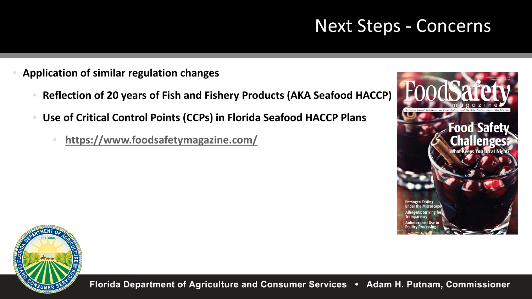#### Next Steps - Concerns

- **Application of similar regulation changes**
	- **Reflection of 20 years of Fish and Fishery Products (AKA Seafood HACCP)**
	- **Use of Critical Control Points (CCPs) in Florida Seafood HACCP Plans**
		- **<https://www.foodsafetymagazine.com/>**